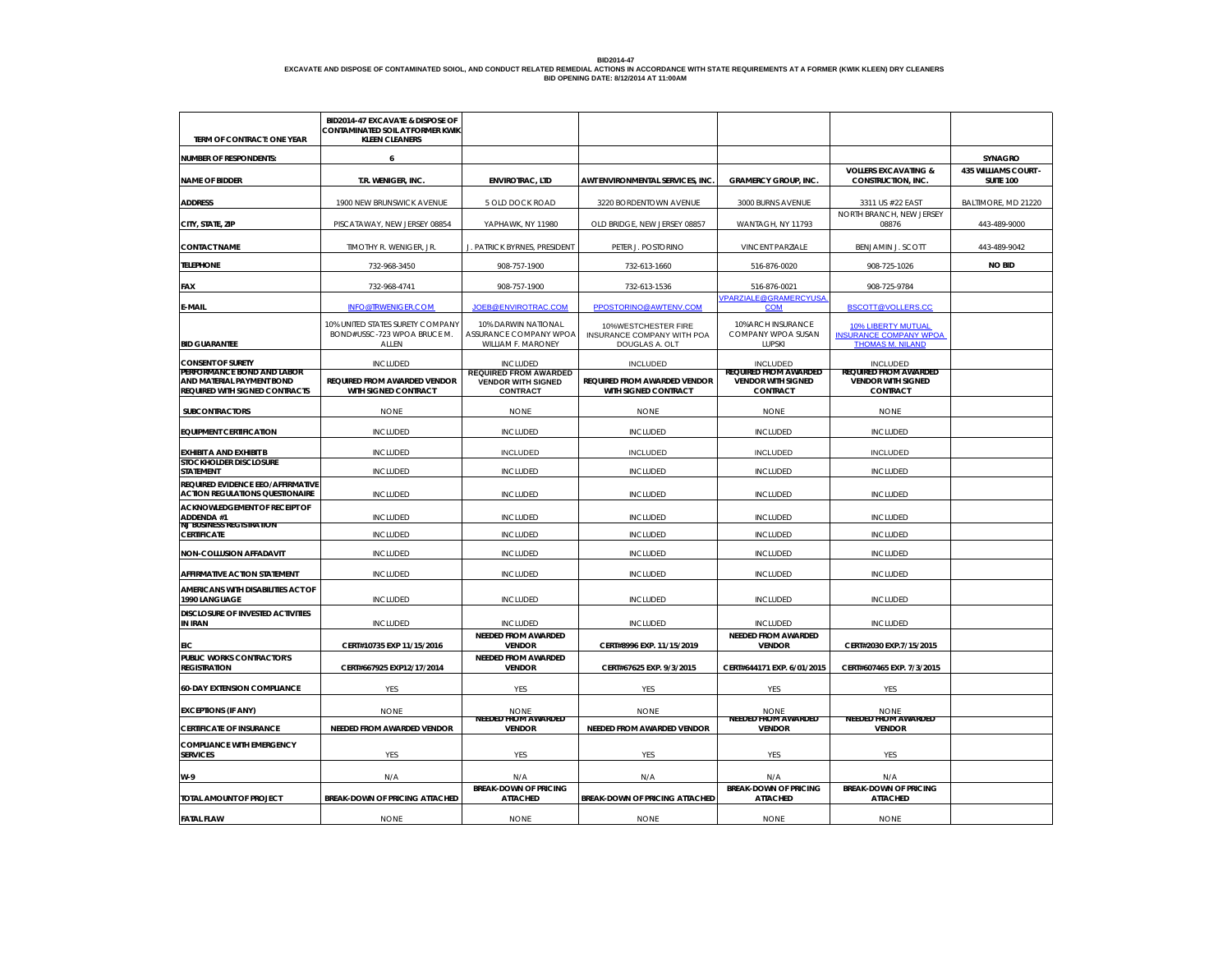# BID2014-47<br>EXCAVATE AND DISPOSE OF CONTAMINATED SOIOL, AND CONDUCT RELATED REMEDIAL ACTIONS IN ACCORDANCE WITH STATE REQUIREMENTS AT A FORMER (KWIK KLEEN) DRY CLEANERS<br>BID OPENING DATE: 8/12/2014 AT 11:00AM<br>———————————————

| TERM OF CONTRACT: ONE YEAR                                                                | BID2014-47 EXCAVATE & DISPOSE OF<br>CONTAMINATED SOIL AT FORMER KWIK<br><b>KLEEN CLEANERS</b> |                                                                              |                                                                     |                                                                       |                                                                                       |                                          |
|-------------------------------------------------------------------------------------------|-----------------------------------------------------------------------------------------------|------------------------------------------------------------------------------|---------------------------------------------------------------------|-----------------------------------------------------------------------|---------------------------------------------------------------------------------------|------------------------------------------|
| <b>NUMBER OF RESPONDENTS:</b>                                                             | 6                                                                                             |                                                                              |                                                                     |                                                                       |                                                                                       | <b>SYNAGRO</b>                           |
| <b>NAME OF BIDDER</b>                                                                     | T.R. WENIGER, INC.                                                                            | <b>ENVIROTRAC, LTD</b>                                                       | AWT ENVIRONMENTAL SERVICES, INC.                                    | <b>GRAMERCY GROUP, INC.</b>                                           | <b>VOLLERS EXCAVATING &amp;</b><br>CONSTRUCTION, INC.                                 | 435 WILLIAMS COURT -<br><b>SUITE 100</b> |
| <b>ADDRESS</b>                                                                            | 1900 NEW BRUNSWICK AVENUE                                                                     | 5 OLD DOCK ROAD                                                              | 3220 BORDENTOWN AVENUE                                              | 3000 BURNS AVENUE                                                     | 3311 US #22 EAST                                                                      | BALTIMORE, MD 21220                      |
| CITY, STATE, ZIP                                                                          | PISCATAWAY, NEW JERSEY 08854                                                                  | YAPHAWK, NY 11980                                                            | OLD BRIDGE, NEW JERSEY 08857                                        | WANTAGH, NY 11793                                                     | NORTH BRANCH, NEW JERSEY<br>08876                                                     | 443-489-9000                             |
| <b>CONTACT NAME</b>                                                                       | TIMOTHY R. WENIGER, JR.                                                                       | J. PATRICK BYRNES, PRESIDENT                                                 | PETER J. POSTORINO                                                  | <b>VINCENT PARZIALE</b>                                               | <b>BENJAMIN J. SCOTT</b>                                                              | 443-489-9042                             |
| <b>TELEPHONE</b>                                                                          | 732-968-3450                                                                                  | 908-757-1900                                                                 | 732-613-1660                                                        | 516-876-0020                                                          | 908-725-1026                                                                          | <b>NO BID</b>                            |
| FAX                                                                                       | 732-968-4741                                                                                  | 908-757-1900                                                                 | 732-613-1536                                                        | 516-876-0021<br><b>VPARZIALE@GRAMERCYUSA</b>                          | 908-725-9784                                                                          |                                          |
| E-MAIL                                                                                    | <b>INFO@TRWENIGER.COM</b>                                                                     | JOEB@ENVIROTRAC.COM                                                          | PPOSTORINO@AWTENV.COM                                               | <b>COM</b>                                                            | BSCOTT@VOLLERS.CC                                                                     |                                          |
| <b>BID GUARANTEE</b>                                                                      | 10% UNITED STATES SURETY COMPANY<br>BOND#USSC-723 WPOA BRUCE M.<br>ALLEN                      | 10% DARWIN NATIONAL<br>ASSURANCE COMPANY WPOA<br>WILLIAM F. MARONEY          | 10%WESTCHESTER FIRE<br>INSURANCE COMPANY WITH POA<br>DOUGLAS A. OLT | 10%ARCH INSURANCE<br>COMPANY WPOA SUSAN<br><b>LUPSKI</b>              | <b>10% LIBERTY MUTUAL</b><br><b>INSURANCE COMPANY WPOA</b><br><b>THOMAS M. NILAND</b> |                                          |
| <b>CONSENT OF SURETY</b>                                                                  | <b>INCLUDED</b>                                                                               | <b>INCLUDED</b>                                                              | <b>INCLUDED</b>                                                     | <b>INCLUDED</b>                                                       | <b>INCLUDED</b>                                                                       |                                          |
| PERFORMANCE BOND AND LABOR<br>AND MATERIAL PAYMENT BOND<br>REQUIRED WITH SIGNED CONTRACTS | REQUIRED FROM AWARDED VENDOR<br>WITH SIGNED CONTRACT                                          | <b>REQUIRED FROM AWARDED</b><br><b>VENDOR WITH SIGNED</b><br><b>CONTRACT</b> | REQUIRED FROM AWARDED VENDOR<br>WITH SIGNED CONTRACT                | <b>REQUIRED FROM AWARDED</b><br><b>VENDOR WITH SIGNED</b><br>CONTRACT | <b>REQUIRED FROM AWARDED</b><br><b>VENDOR WITH SIGNED</b><br>CONTRACT                 |                                          |
| <b>SUBCONTRACTORS</b>                                                                     | <b>NONE</b>                                                                                   | <b>NONE</b>                                                                  | <b>NONE</b>                                                         | <b>NONE</b>                                                           | <b>NONE</b>                                                                           |                                          |
| <b>EQUIPMENT CERTIFICATION</b>                                                            | <b>INCLUDED</b>                                                                               | <b>INCLUDED</b>                                                              | <b>INCLUDED</b>                                                     | <b>INCLUDED</b>                                                       | <b>INCLUDED</b>                                                                       |                                          |
| <b>EXHIBIT A AND EXHIBIT B</b>                                                            | <b>INCLUDED</b>                                                                               | <b>INCLUDED</b>                                                              | <b>INCLUDED</b>                                                     | <b>INCLUDED</b>                                                       | <b>INCLUDED</b>                                                                       |                                          |
| <b>STOCKHOLDER DISCLOSURE</b>                                                             |                                                                                               |                                                                              |                                                                     |                                                                       |                                                                                       |                                          |
| <b>STATEMENT</b><br>REQUIRED EVIDENCE EEO/AFFIRMATIVE                                     | <b>INCLUDED</b>                                                                               | <b>INCLUDED</b>                                                              | <b>INCLUDED</b>                                                     | <b>INCLUDED</b>                                                       | <b>INCLUDED</b>                                                                       |                                          |
| <b>ACTION REGULATIONS QUESTIONAIRE</b>                                                    | <b>INCLUDED</b>                                                                               | <b>INCLUDED</b>                                                              | <b>INCLUDED</b>                                                     | <b>INCLUDED</b>                                                       | <b>INCLUDED</b>                                                                       |                                          |
| ACKNOWLEDGEMENT OF RECEIPT OF<br>ADDENDA #1                                               | <b>INCLUDED</b>                                                                               | <b>INCLUDED</b>                                                              | <b>INCLUDED</b>                                                     | <b>INCLUDED</b>                                                       | <b>INCLUDED</b>                                                                       |                                          |
| <b>NJ BUSINESS REGISTRATION</b><br>CERTIFICATE                                            | <b>INCLUDED</b>                                                                               | <b>INCLUDED</b>                                                              | <b>INCLUDED</b>                                                     | <b>INCLUDED</b>                                                       | <b>INCLUDED</b>                                                                       |                                          |
| NON-COLLUSION AFFADAVIT                                                                   | <b>INCLUDED</b>                                                                               | <b>INCLUDED</b>                                                              | <b>INCLUDED</b>                                                     | <b>INCLUDED</b>                                                       | <b>INCLUDED</b>                                                                       |                                          |
| AFFIRMATIVE ACTION STATEMENT                                                              | <b>INCLUDED</b>                                                                               | <b>INCLUDED</b>                                                              | <b>INCLUDED</b>                                                     | <b>INCLUDED</b>                                                       | <b>INCLUDED</b>                                                                       |                                          |
| AMERICANS WITH DISABILITIES ACT OF<br>1990 LANGUAGE                                       | <b>INCLUDED</b>                                                                               | <b>INCLUDED</b>                                                              | <b>INCLUDED</b>                                                     | <b>INCLUDED</b>                                                       | <b>INCLUDED</b>                                                                       |                                          |
| <b>DISCLOSURE OF INVESTED ACTIVITIES</b>                                                  |                                                                                               |                                                                              |                                                                     |                                                                       |                                                                                       |                                          |
| <b>IN IRAN</b>                                                                            | <b>INCLUDED</b>                                                                               | <b>INCLUDED</b><br>NEEDED FROM AWARDED                                       | <b>INCLUDED</b>                                                     | <b>INCLUDED</b><br>NEEDED FROM AWARDED                                | <b>INCLUDED</b>                                                                       |                                          |
| EIC                                                                                       | CERT#10735 EXP 11/15/2016                                                                     | <b>VENDOR</b>                                                                | CERT#8996 EXP. 11/15/2019                                           | <b>VENDOR</b>                                                         | CERT#2030 EXP.7/15/2015                                                               |                                          |
| PUBLIC WORKS CONTRACTOR'S<br><b>REGISTRATION</b>                                          | CERT#667925 EXP12/17/2014                                                                     | NEEDED FROM AWARDED<br><b>VENDOR</b>                                         | CERT#67625 EXP. 9/3/2015                                            | CERT#644171 EXP. 6/01/2015                                            | CERT#607465 EXP. 7/3/2015                                                             |                                          |
| <b>60-DAY EXTENSION COMPLIANCE</b>                                                        | YES                                                                                           | YES                                                                          | YES                                                                 | YES                                                                   | YES                                                                                   |                                          |
| <b>EXCEPTIONS (IF ANY)</b>                                                                | <b>NONE</b>                                                                                   | <b>NONE</b>                                                                  | <b>NONE</b>                                                         | <b>NONE</b>                                                           | <b>NONE</b>                                                                           |                                          |
| <b>CERTIFICATE OF INSURANCE</b>                                                           | NEEDED FROM AWARDED VENDOR                                                                    | NEEDED FROM AWARDED<br><b>VENDOR</b>                                         | NEEDED FROM AWARDED VENDOR                                          | <b>NEEDED FROM AWARDED</b><br><b>VENDOR</b>                           | <b>NEEDED FROM AWARDED</b><br><b>VENDOR</b>                                           |                                          |
| <b>COMPLIANCE WITH EMERGENCY</b><br><b>SERVICES</b>                                       | YES                                                                                           | YES                                                                          | YES                                                                 | YES                                                                   | YES                                                                                   |                                          |
|                                                                                           |                                                                                               |                                                                              |                                                                     |                                                                       |                                                                                       |                                          |
| W-9<br>TOTAL AMOUNT OF PROJECT                                                            | N/A<br>BREAK-DOWN OF PRICING ATTACHED                                                         | N/A<br><b>BREAK-DOWN OF PRICING</b><br><b>ATTACHED</b>                       | N/A<br>BREAK-DOWN OF PRICING ATTACHED                               | N/A<br><b>BREAK-DOWN OF PRICING</b><br><b>ATTACHED</b>                | N/A<br><b>BREAK-DOWN OF PRICING</b><br><b>ATTACHED</b>                                |                                          |
| <b>FATAL FLAW</b>                                                                         | <b>NONE</b>                                                                                   | <b>NONE</b>                                                                  | <b>NONE</b>                                                         | <b>NONE</b>                                                           | <b>NONE</b>                                                                           |                                          |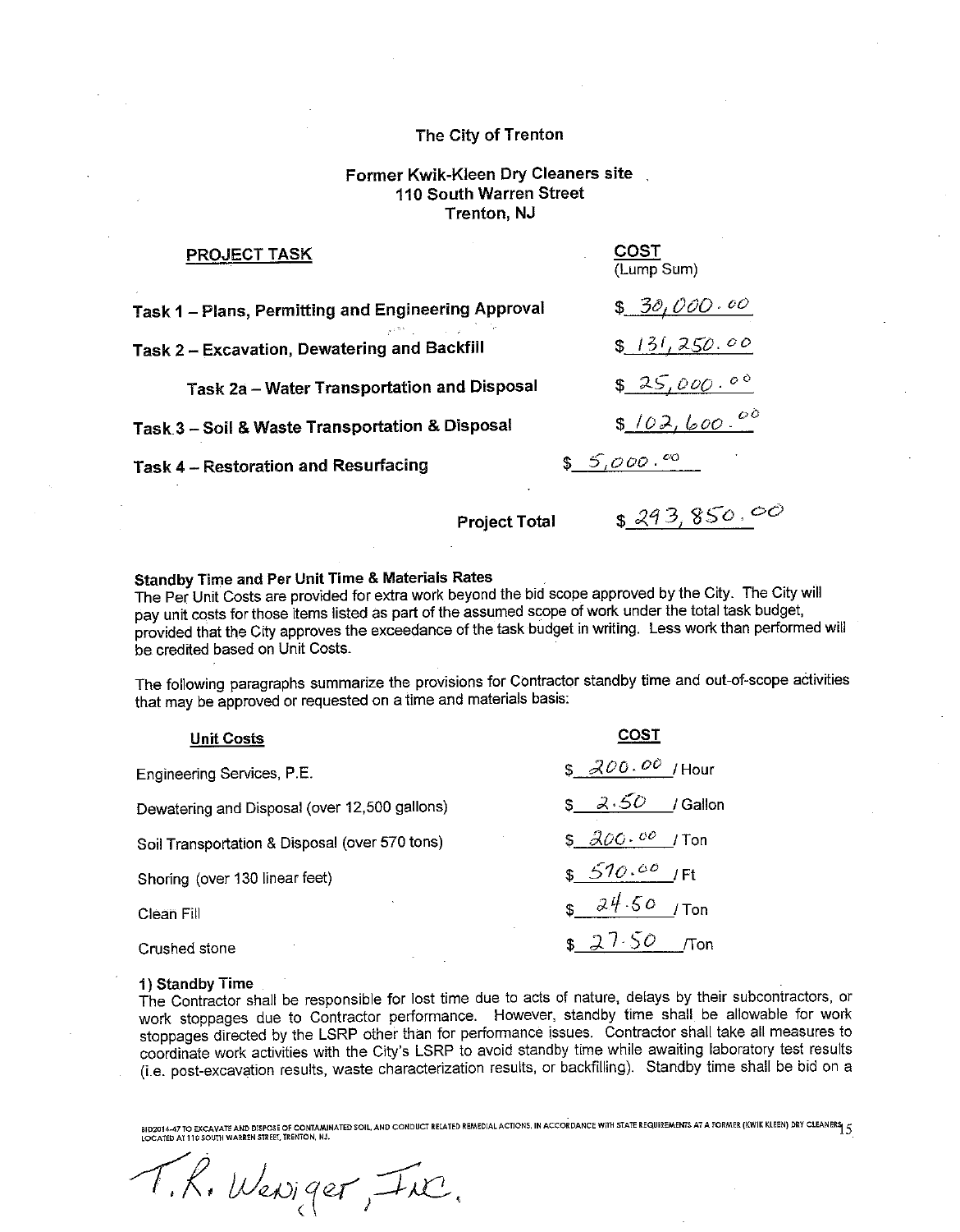# Former Kwik-Kleen Dry Cleaners site 110 South Warren Street **Trenton, NJ**

| <b>PROJECT TASK</b>                                 | COST<br>(Lump Sum) |
|-----------------------------------------------------|--------------------|
| Task 1 - Plans, Permitting and Engineering Approval | \$30,000.00        |
| Task 2 - Excavation, Dewatering and Backfill        | \$131,250.00       |
| <b>Task 2a - Water Transportation and Disposal</b>  | \$25,000.00        |
| Task 3 - Soil & Waste Transportation & Disposal     | \$102,600.00       |
| Task 4 - Restoration and Resurfacing                | $$5,000.^{\circ}$  |
|                                                     |                    |

**Project Total** 

 $$293,850.00$ 

# **Standby Time and Per Unit Time & Materials Rates**

The Per Unit Costs are provided for extra work beyond the bid scope approved by the City. The City will pay unit costs for those items listed as part of the assumed scope of work under the total task budget, provided that the City approves the exceedance of the task budget in writing. Less work than performed will be credited based on Unit Costs.

The following paragraphs summarize the provisions for Contractor standby time and out-of-scope activities that may be approved or requested on a time and materials basis:

| <b>Unit Costs</b>                              | COST                  |
|------------------------------------------------|-----------------------|
| Engineering Services, P.E.                     | $$300.00$ /Hour       |
| Dewatering and Disposal (over 12,500 gallons)  | \$3.50<br>/ Gallon    |
| Soil Transportation & Disposal (over 570 tons) | $$300.00$ /Ton        |
| Shoring (over 130 linear feet)                 | $$570.00$ /Ft         |
| Clean Fill                                     | $s \frac{24.50}{100}$ |
| Crushed stone                                  | \$27.50<br><b>Ton</b> |

#### 1) Standby Time

The Contractor shall be responsible for lost time due to acts of nature, delays by their subcontractors, or work stoppages due to Contractor performance. However, standby time shall be allowable for work stoppages directed by the LSRP other than for performance issues. Contractor shall take all measures to coordinate work activities with the City's LSRP to avoid standby time while awaiting laboratory test results (i.e. post-excavation results, waste characterization results, or backfilling). Standby time shall be bid on a

BID2014-47 TO EXCAVATE AND DISPOSE OF CONTAMINATED SOIL, AND CONDUCT RELATED REMEDIAL ACTIONS, IN ACCORDANCE WITH STATE REQUIREMENTS AT A FORMER (KWIK KLEEN) DRY CLEANERS 5<br>LOCATED AT 110 SOUTH WARREN STREET, TRENTON, NJ.

T.R. Weniger, Inc.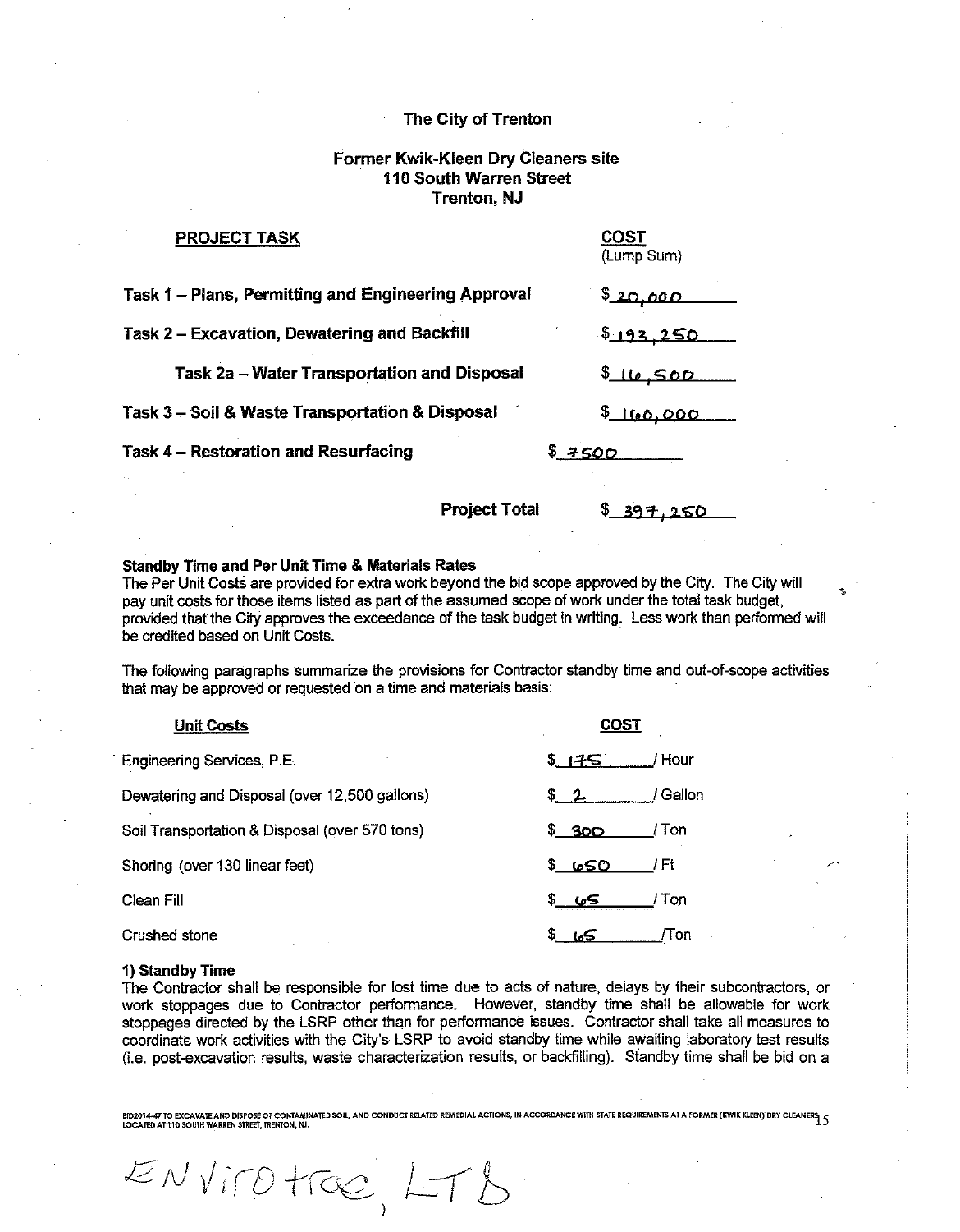# Former Kwik-Kleen Dry Cleaners site 110 South Warren Street **Trenton, NJ**

| <b>PROJECT TASK</b>                                 | <b>COST</b><br>(Lump Sum) |
|-----------------------------------------------------|---------------------------|
| Task 1 - Plans, Permitting and Engineering Approval | 5,000                     |
| Task 2 - Excavation, Dewatering and Backfill        | 5193.250                  |
| Task 2a – Water Transportation and Disposal         | \$10,500                  |
| Task 3 - Soil & Waste Transportation & Disposal     | 160,000                   |
| <b>Task 4 - Restoration and Resurfacing</b>         | \$7500                    |
|                                                     |                           |

**Project Total** 

#### **Standby Time and Per Unit Time & Materials Rates**

ENVITOTTOC, LTB

The Per Unit Costs are provided for extra work beyond the bid scope approved by the City. The City will pay unit costs for those items listed as part of the assumed scope of work under the total task budget, provided that the City approves the exceedance of the task budget in writing. Less work than performed will be credited based on Unit Costs.

The following paragraphs summarize the provisions for Contractor standby time and out-of-scope activities that may be approved or requested on a time and materials basis:

| <b>Unit Costs</b>                              | COST                  |
|------------------------------------------------|-----------------------|
| Engineering Services, P.E.                     | / Hour<br>S 175.      |
| Dewatering and Disposal (over 12,500 gallons)  | / Gallon<br>52        |
| Soil Transportation & Disposal (over 570 tons) | <u>\$300</u><br>/ Ton |
| Shoring (over 130 linear feet)                 | <u>s 650</u><br>/ Ft  |
| Clean Fill                                     | / Ton<br>5م)          |
| Crushed stone                                  | /Ton<br>lo5           |

#### 1) Standby Time

The Contractor shall be responsible for lost time due to acts of nature, delays by their subcontractors, or work stoppages due to Contractor performance. However, standby time shall be allowable for work stoppages directed by the LSRP other than for performance issues. Contractor shall take all measures to coordinate work activities with the City's LSRP to avoid standby time while awaiting laboratory test results (i.e. post-excavation results, waste characterization results, or backfilling). Standby time shall be bid on a

**BID2014-47 TO EXCAVATE AND DISPOSE OF CONTAMINATED SOIL, AND CONDUCT RELATED REMEDIAL ACTIONS, IN ACCORDANCE WITH STATE REQUIREMENTS AT A FORMER (KWIK KLEEN) DRY CLEANERS**  $\zeta$ LOCATED AT 110 SOUTH WARREN STREET, TRENTON, NJ.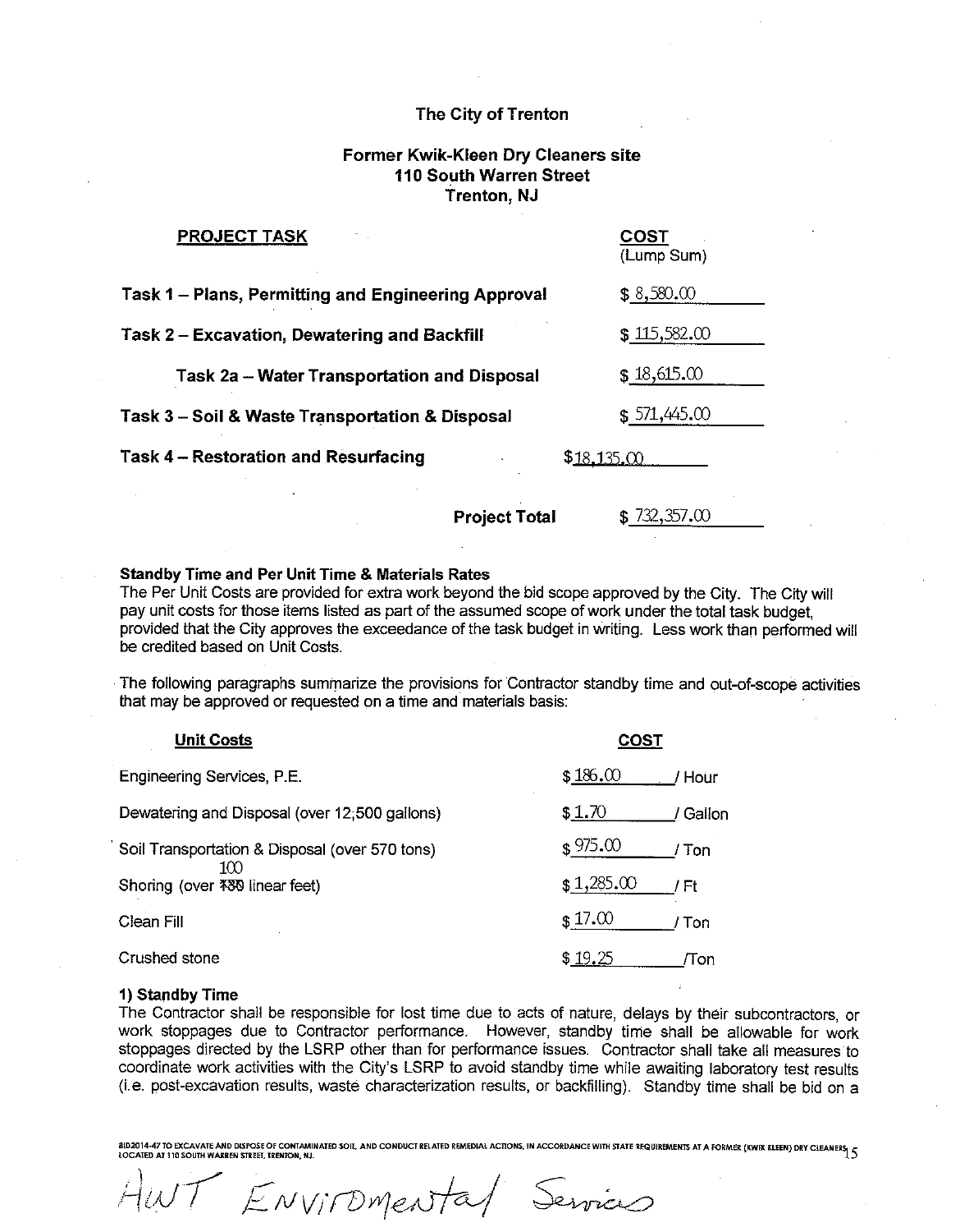# Former Kwik-Kleen Dry Cleaners site 110 South Warren Street **Trenton, NJ**

| <u>PROJECT TASK</u>                                 | COST<br>(Lump Sum) |
|-----------------------------------------------------|--------------------|
| Task 1 – Plans, Permitting and Engineering Approval | \$8,580.00         |
| Task 2 - Excavation, Dewatering and Backfill        | \$115,582.00       |
| Task 2a - Water Transportation and Disposal         | \$18,615.00        |
| Task 3 – Soil & Waste Transportation & Disposal     | \$571,445.00       |
| <b>Task 4 - Restoration and Resurfacing</b>         | \$18,135,00        |
|                                                     |                    |

**Project Total** 

 $$732,357.00$ 

## **Standby Time and Per Unit Time & Materials Rates**

The Per Unit Costs are provided for extra work beyond the bid scope approved by the City. The City will pay unit costs for those items listed as part of the assumed scope of work under the total task budget. provided that the City approves the exceedance of the task budget in writing. Less work than performed will be credited based on Unit Costs

The following paragraphs summarize the provisions for Contractor standby time and out-of-scope activities that may be approved or requested on a time and materials basis:

| <b>Unit Costs</b>                              | COS1               |
|------------------------------------------------|--------------------|
| Engineering Services, P.E.                     | \$186.00<br>/ Hour |
| Dewatering and Disposal (over 12,500 gallons)  | \$1.70<br>/ Gallon |
| Soil Transportation & Disposal (over 570 tons) | \$975.00<br>Ton    |
| 1M)<br>Shoring (over 480 linear feet)          | \$1,285.00<br>/ Ft |
| Clean Fill                                     | \$17.00<br>Ton     |
| Crushed stone                                  | \$19.25<br>/Ton    |

#### 1) Standby Time

The Contractor shall be responsible for lost time due to acts of nature, delays by their subcontractors, or work stoppages due to Contractor performance. However, standby time shall be allowable for work stoppages directed by the LSRP other than for performance issues. Contractor shall take all measures to coordinate work activities with the City's LSRP to avoid standby time while awaiting laboratory test results (i.e. post-excavation results, waste characterization results, or backfilling). Standby time shall be bid on a

SID2014-47 TO EXCAVATE AND DISPOSE OF CONTAMINATED SOIL, AND CONDUCT RELATED REMEDIAL ACTIONS, IN ACCORDANCE WITH STATE REQUIREMENTS AT A FORMER (KWIK KLEEN) DRY CLEANER (<br>LOCATED AT 110 SOUTH WARREN STREET, TRENTON, NJ.

I ENVIROMENTAL Services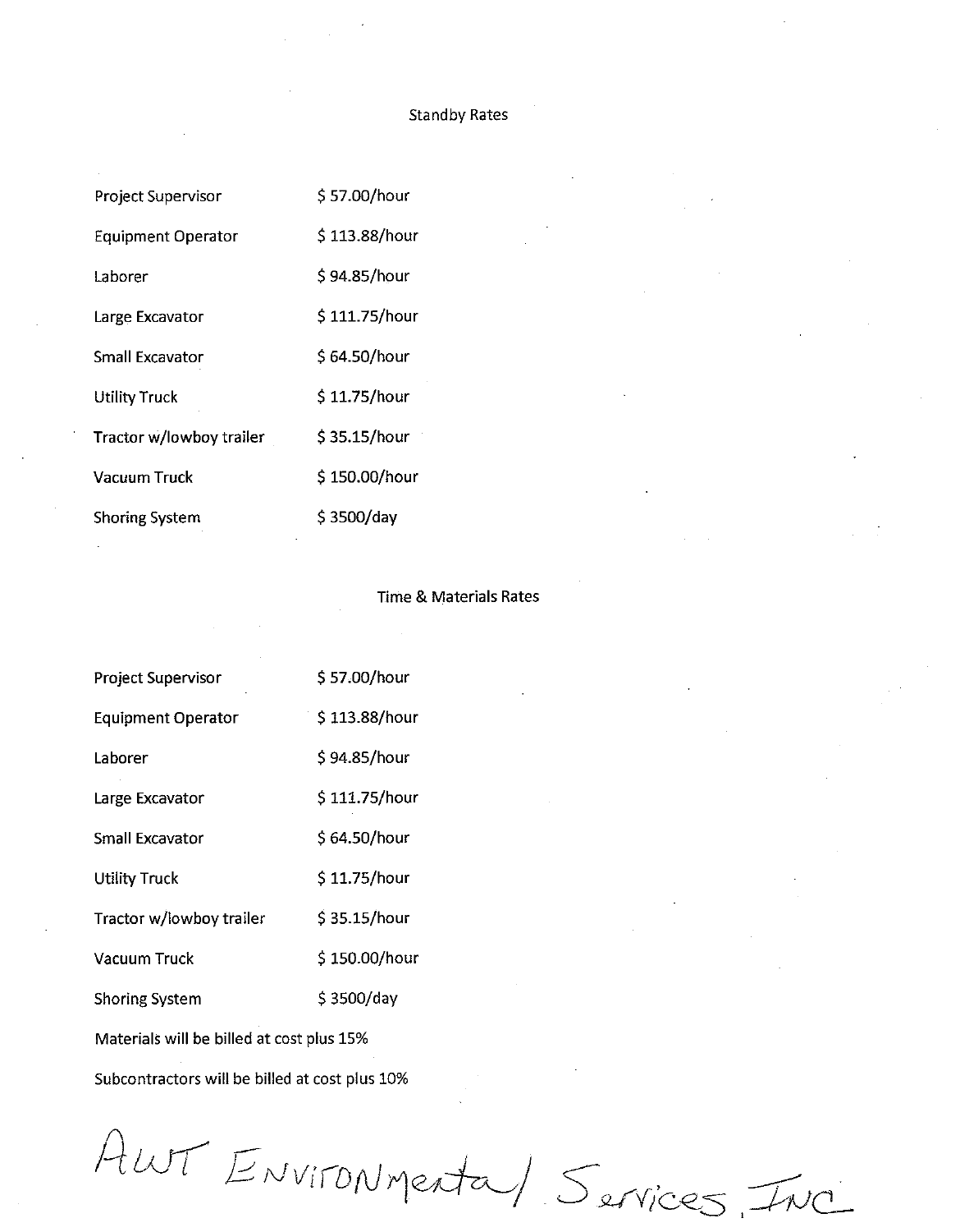# **Standby Rates**

| \$57.00/hour  |
|---------------|
| \$113.88/hour |
| \$94.85/hour  |
| \$111.75/hour |
| \$64.50/hour  |
| \$11.75/hour  |
| \$35.15/hour  |
| \$150.00/hour |
| \$3500/day    |
|               |

# **Time & Materials Rates**

| Project Supervisor                             | \$57.00/hour  |  |
|------------------------------------------------|---------------|--|
| <b>Equipment Operator</b>                      | \$113.88/hour |  |
| Laborer                                        | \$94.85/hour  |  |
| Large Excavator                                | \$111.75/hour |  |
| <b>Small Excavator</b>                         | \$64.50/hour  |  |
| <b>Utility Truck</b>                           | \$11.75/hour  |  |
| Tractor w/lowboy trailer                       | \$35.15/hour  |  |
| Vacuum Truck                                   | \$150.00/hour |  |
| <b>Shoring System</b>                          | \$3500/day    |  |
| Materials will be billed at cost plus 15%      |               |  |
| Subcontractors will be billed at cost plus 10% |               |  |

AUNT ENVIRONMenta) Services, INC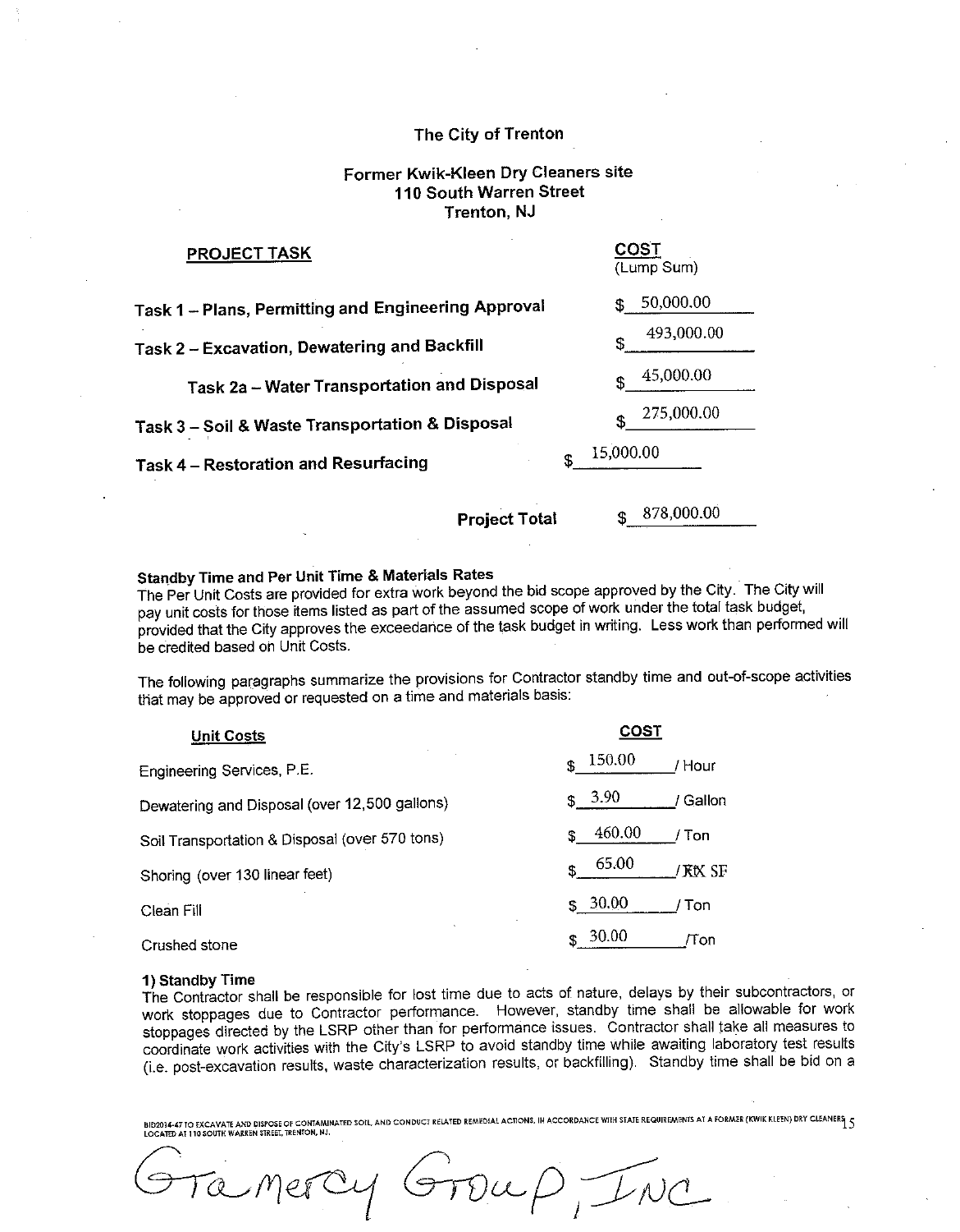# Former Kwik-Kleen Dry Cleaners site 110 South Warren Street Trenton, NJ

| <b>PROJECT TASK</b>                                 | <b>COST</b><br>(Lump Sum) |
|-----------------------------------------------------|---------------------------|
| Task 1 – Plans, Permitting and Engineering Approval | 50,000.00<br>SS.          |
| Task 2 - Excavation, Dewatering and Backfill        | 493,000.00                |
| <b>Task 2a - Water Transportation and Disposal</b>  | 45,000.00<br>\$           |
| Task 3 - Soil & Waste Transportation & Disposal     | 275,000.00<br>\$          |
| Task 4 - Restoration and Resurfacing                | \$<br>15,000.00           |
| <b>Project Total</b>                                | 878,000.00<br>\$          |

**Standby Time and Per Unit Time & Materials Rates** 

The Per Unit Costs are provided for extra work beyond the bid scope approved by the City. The City will pay unit costs for those items listed as part of the assumed scope of work under the total task budget, provided that the City approves the exceedance of the task budget in writing. Less work than performed will be credited based on Unit Costs.

The following paragraphs summarize the provisions for Contractor standby time and out-of-scope activities that may be approved or requested on a time and materials basis.

| <b>Unit Costs</b>                              | COST                    |
|------------------------------------------------|-------------------------|
| Engineering Services, P.E.                     | 150.00<br>\$<br>/ Hour  |
| Dewatering and Disposal (over 12,500 gallons)  | 3.90<br>/ Gallon<br>\$. |
| Soil Transportation & Disposal (over 570 tons) | 460.00<br>Ton<br>S.     |
| Shoring (over 130 linear feet)                 | 65.00<br>/ KtX SF       |
| Clean Fill                                     | 30.00<br>\$.<br>Ton     |
| Crushed stone                                  | 30.00<br>/Ton<br>S      |

#### 1) Standby Time

The Contractor shall be responsible for lost time due to acts of nature, delays by their subcontractors, or work stoppages due to Contractor performance. However, standby time shall be allowable for work stoppages directed by the LSRP other than for performance issues. Contractor shall take all measures to coordinate work activities with the City's LSRP to avoid standby time while awaiting laboratory test results (i.e. post-excavation results, waste characterization results, or backfilling). Standby time shall be bid on a

BID2034-47 TO EXCAVATE AND DISPOSE OF CONTAMINATED SOIL, AND CONDUCT RELATED REMEDIAL ACTIONS, IN ACCORDANCE WITH STATE REQUIREMENTS AT A FORMER (KWIK KLEEN) DRY CLEANERS  $\varsigma$ LOCATED AT 110 SOUTH WARREN STREET, TRENTON, NJ.

 $Iwd$  $\mathcal{D}\mathfrak{\omega} \not\!\!\!\!\sim \not\!\!\!\! \varphi$